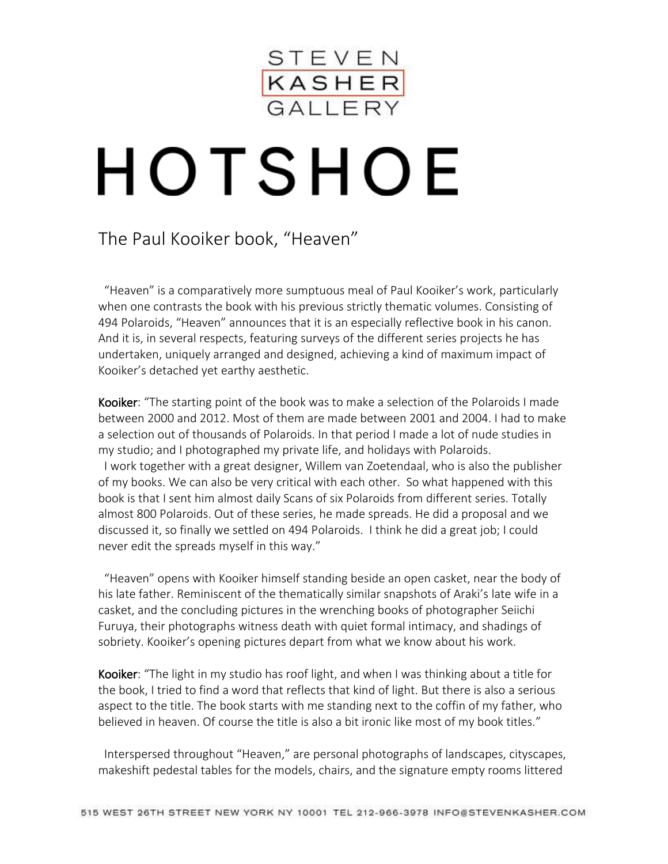

## HOTSHOE

## The Paul Kooiker book, "Heaven"

 "Heaven" is a comparatively more sumptuous meal of Paul Kooiker's work, particularly when one contrasts the book with his previous strictly thematic volumes. Consisting of 494 Polaroids, "Heaven" announces that it is an especially reflective book in his canon. And it is, in several respects, featuring surveys of the different series projects he has undertaken, uniquely arranged and designed, achieving a kind of maximum impact of Kooiker's detached yet earthy aesthetic.

Kooiker: "The starting point of the book was to make a selection of the Polaroids I made between 2000 and 2012. Most of them are made between 2001 and 2004. I had to make a selection out of thousands of Polaroids. In that period I made a lot of nude studies in my studio; and I photographed my private life, and holidays with Polaroids. I work together with a great designer, Willem van Zoetendaal, who is also the publisher of my books. We can also be very critical with each other. So what happened with this book is that I sent him almost daily Scans of six Polaroids from different series. Totally almost 800 Polaroids. Out of these series, he made spreads. He did a proposal and we discussed it, so finally we settled on 494 Polaroids. I think he did a great job; I could never edit the spreads myself in this way."

 "Heaven" opens with Kooiker himself standing beside an open casket, near the body of his late father. Reminiscent of the thematically similar snapshots of Araki's late wife in a casket, and the concluding pictures in the wrenching books of photographer Seiichi Furuya, their photographs witness death with quiet formal intimacy, and shadings of sobriety. Kooiker's opening pictures depart from what we know about his work.

Kooiker: "The light in my studio has roof light, and when I was thinking about a title for the book, I tried to find a word that reflects that kind of light. But there is also a serious aspect to the title. The book starts with me standing next to the coffin of my father, who believed in heaven. Of course the title is also a bit ironic like most of my book titles."

 Interspersed throughout "Heaven," are personal photographs of landscapes, cityscapes, makeshift pedestal tables for the models, chairs, and the signature empty rooms littered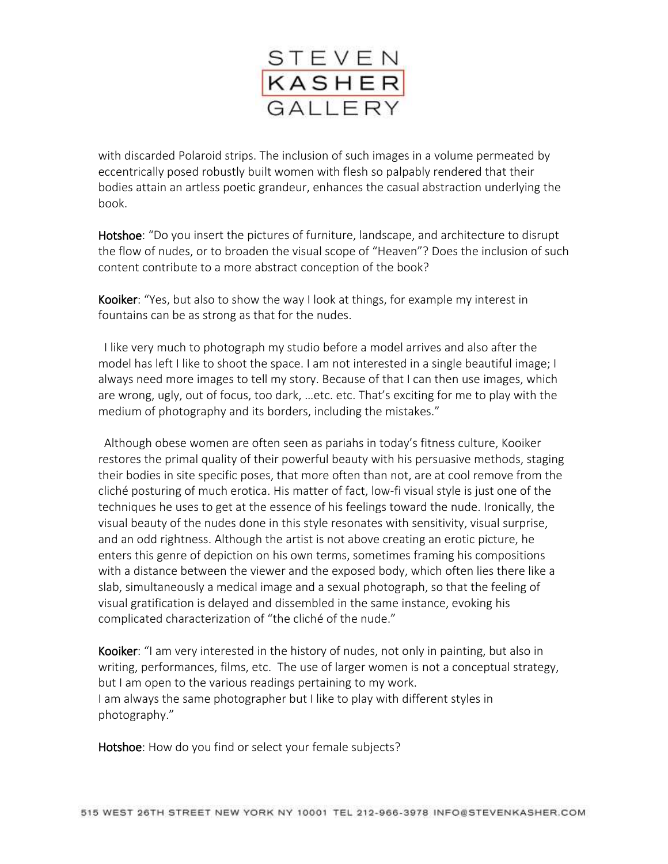

with discarded Polaroid strips. The inclusion of such images in a volume permeated by eccentrically posed robustly built women with flesh so palpably rendered that their bodies attain an artless poetic grandeur, enhances the casual abstraction underlying the book.

Hotshoe: "Do you insert the pictures of furniture, landscape, and architecture to disrupt the flow of nudes, or to broaden the visual scope of "Heaven"? Does the inclusion of such content contribute to a more abstract conception of the book?

Kooiker: "Yes, but also to show the way I look at things, for example my interest in fountains can be as strong as that for the nudes.

 I like very much to photograph my studio before a model arrives and also after the model has left I like to shoot the space. I am not interested in a single beautiful image; I always need more images to tell my story. Because of that I can then use images, which are wrong, ugly, out of focus, too dark, …etc. etc. That's exciting for me to play with the medium of photography and its borders, including the mistakes."

 Although obese women are often seen as pariahs in today's fitness culture, Kooiker restores the primal quality of their powerful beauty with his persuasive methods, staging their bodies in site specific poses, that more often than not, are at cool remove from the cliché posturing of much erotica. His matter of fact, low-fi visual style is just one of the techniques he uses to get at the essence of his feelings toward the nude. Ironically, the visual beauty of the nudes done in this style resonates with sensitivity, visual surprise, and an odd rightness. Although the artist is not above creating an erotic picture, he enters this genre of depiction on his own terms, sometimes framing his compositions with a distance between the viewer and the exposed body, which often lies there like a slab, simultaneously a medical image and a sexual photograph, so that the feeling of visual gratification is delayed and dissembled in the same instance, evoking his complicated characterization of "the cliché of the nude."

Kooiker: "I am very interested in the history of nudes, not only in painting, but also in writing, performances, films, etc. The use of larger women is not a conceptual strategy, but I am open to the various readings pertaining to my work. I am always the same photographer but I like to play with different styles in photography."

Hotshoe: How do you find or select your female subjects?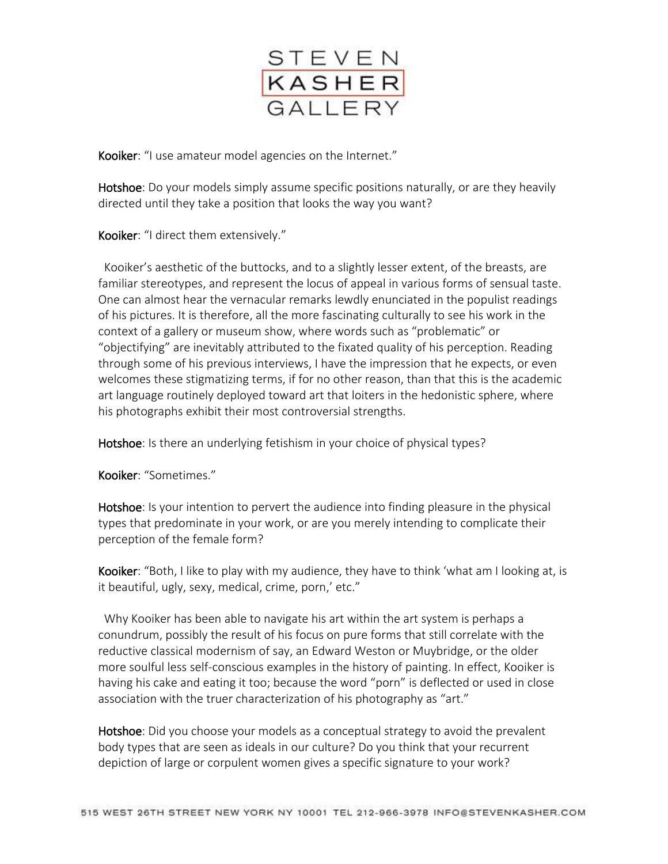

Kooiker: "I use amateur model agencies on the Internet."

Hotshoe: Do your models simply assume specific positions naturally, or are they heavily directed until they take a position that looks the way you want?

Kooiker: "I direct them extensively."

 Kooiker's aesthetic of the buttocks, and to a slightly lesser extent, of the breasts, are familiar stereotypes, and represent the locus of appeal in various forms of sensual taste. One can almost hear the vernacular remarks lewdly enunciated in the populist readings of his pictures. It is therefore, all the more fascinating culturally to see his work in the context of a gallery or museum show, where words such as "problematic" or "objectifying" are inevitably attributed to the fixated quality of his perception. Reading through some of his previous interviews, I have the impression that he expects, or even welcomes these stigmatizing terms, if for no other reason, than that this is the academic art language routinely deployed toward art that loiters in the hedonistic sphere, where his photographs exhibit their most controversial strengths.

Hotshoe: Is there an underlying fetishism in your choice of physical types?

Kooiker: "Sometimes."

Hotshoe: Is your intention to pervert the audience into finding pleasure in the physical types that predominate in your work, or are you merely intending to complicate their perception of the female form?

Kooiker: "Both, I like to play with my audience, they have to think 'what am I looking at, is it beautiful, ugly, sexy, medical, crime, porn,' etc."

 Why Kooiker has been able to navigate his art within the art system is perhaps a conundrum, possibly the result of his focus on pure forms that still correlate with the reductive classical modernism of say, an Edward Weston or Muybridge, or the older more soulful less self-conscious examples in the history of painting. In effect, Kooiker is having his cake and eating it too; because the word "porn" is deflected or used in close association with the truer characterization of his photography as "art."

Hotshoe: Did you choose your models as a conceptual strategy to avoid the prevalent body types that are seen as ideals in our culture? Do you think that your recurrent depiction of large or corpulent women gives a specific signature to your work?